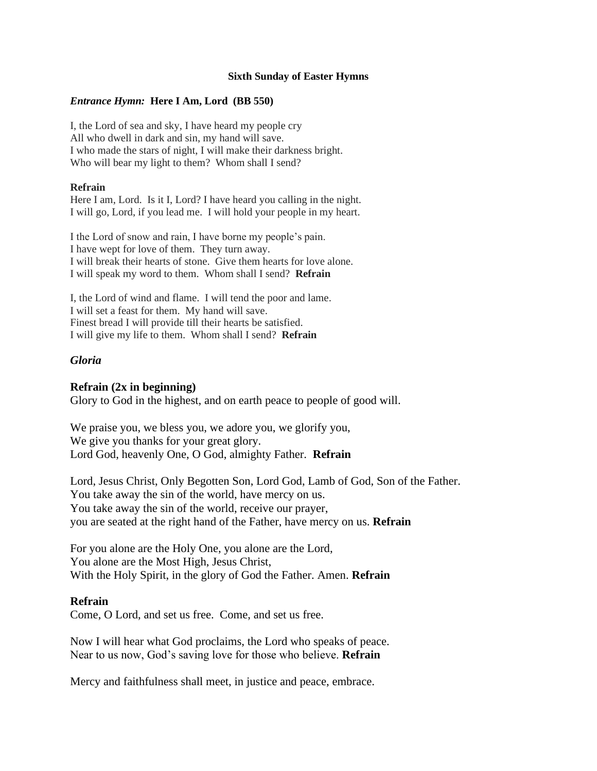#### **Sixth Sunday of Easter Hymns**

#### *Entrance Hymn:* **Here I Am, Lord (BB 550)**

I, the Lord of sea and sky, I have heard my people cry All who dwell in dark and sin, my hand will save. I who made the stars of night, I will make their darkness bright. Who will bear my light to them? Whom shall I send?

#### **Refrain**

Here I am, Lord. Is it I, Lord? I have heard you calling in the night. I will go, Lord, if you lead me. I will hold your people in my heart.

I the Lord of snow and rain, I have borne my people's pain. I have wept for love of them. They turn away. I will break their hearts of stone. Give them hearts for love alone. I will speak my word to them. Whom shall I send? **Refrain**

I, the Lord of wind and flame. I will tend the poor and lame. I will set a feast for them. My hand will save. Finest bread I will provide till their hearts be satisfied. I will give my life to them. Whom shall I send? **Refrain**

### *Gloria*

### **Refrain (2x in beginning)**

Glory to God in the highest, and on earth peace to people of good will.

We praise you, we bless you, we adore you, we glorify you, We give you thanks for your great glory. Lord God, heavenly One, O God, almighty Father. **Refrain**

Lord, Jesus Christ, Only Begotten Son, Lord God, Lamb of God, Son of the Father. You take away the sin of the world, have mercy on us. You take away the sin of the world, receive our prayer, you are seated at the right hand of the Father, have mercy on us. **Refrain**

For you alone are the Holy One, you alone are the Lord, You alone are the Most High, Jesus Christ, With the Holy Spirit, in the glory of God the Father. Amen. **Refrain**

### **Refrain**

Come, O Lord, and set us free. Come, and set us free.

Now I will hear what God proclaims, the Lord who speaks of peace. Near to us now, God's saving love for those who believe. **Refrain**

Mercy and faithfulness shall meet, in justice and peace, embrace.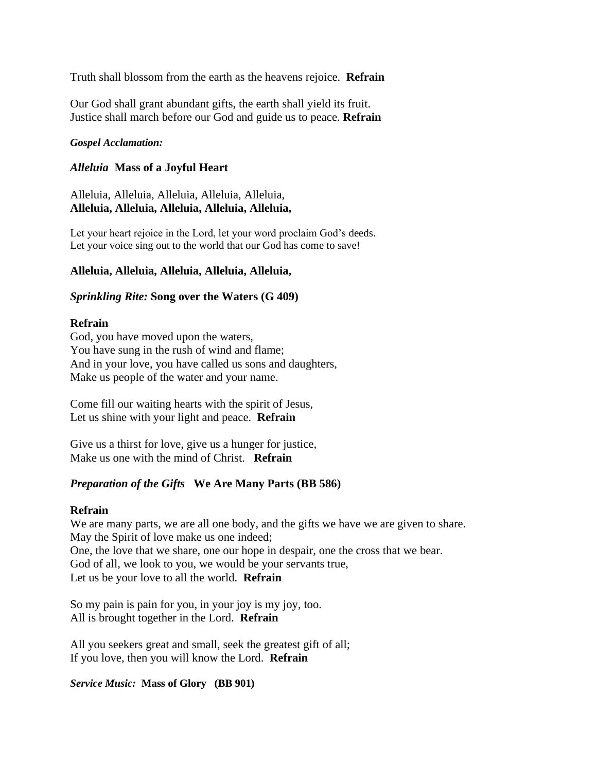Truth shall blossom from the earth as the heavens rejoice. **Refrain**

Our God shall grant abundant gifts, the earth shall yield its fruit. Justice shall march before our God and guide us to peace. **Refrain**

## *Gospel Acclamation:*

# *Alleluia* **Mass of a Joyful Heart**

Alleluia, Alleluia, Alleluia, Alleluia, Alleluia, **Alleluia, Alleluia, Alleluia, Alleluia, Alleluia,**

Let your heart rejoice in the Lord, let your word proclaim God's deeds. Let your voice sing out to the world that our God has come to save!

## **Alleluia, Alleluia, Alleluia, Alleluia, Alleluia,**

## *Sprinkling Rite:* **Song over the Waters (G 409)**

## **Refrain**

God, you have moved upon the waters, You have sung in the rush of wind and flame; And in your love, you have called us sons and daughters, Make us people of the water and your name.

Come fill our waiting hearts with the spirit of Jesus, Let us shine with your light and peace. **Refrain**

Give us a thirst for love, give us a hunger for justice, Make us one with the mind of Christ. **Refrain**

# *Preparation of the Gifts* **We Are Many Parts (BB 586)**

### **Refrain**

We are many parts, we are all one body, and the gifts we have we are given to share. May the Spirit of love make us one indeed; One, the love that we share, one our hope in despair, one the cross that we bear. God of all, we look to you, we would be your servants true, Let us be your love to all the world. **Refrain**

So my pain is pain for you, in your joy is my joy, too. All is brought together in the Lord. **Refrain**

All you seekers great and small, seek the greatest gift of all; If you love, then you will know the Lord. **Refrain**

### *Service Music:* **Mass of Glory (BB 901)**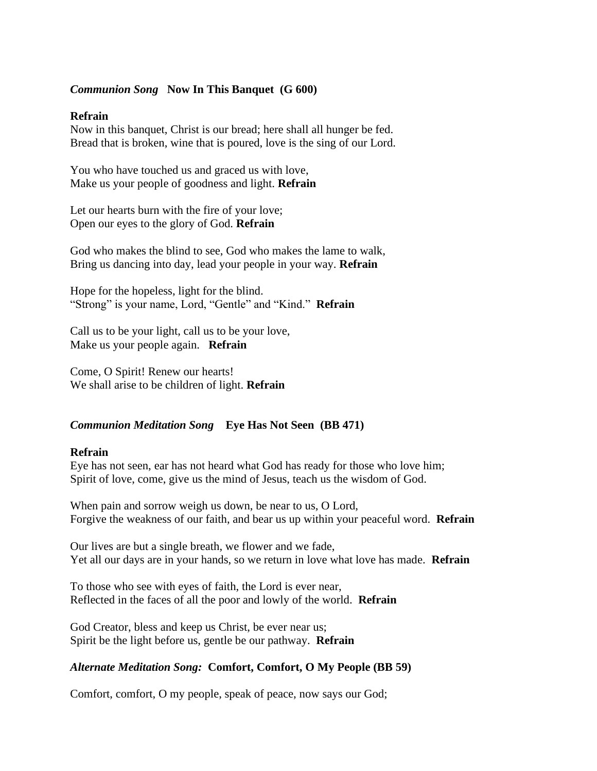## *Communion Song* **Now In This Banquet (G 600)**

#### **Refrain**

Now in this banquet, Christ is our bread; here shall all hunger be fed. Bread that is broken, wine that is poured, love is the sing of our Lord.

You who have touched us and graced us with love, Make us your people of goodness and light. **Refrain**

Let our hearts burn with the fire of your love; Open our eyes to the glory of God. **Refrain**

God who makes the blind to see, God who makes the lame to walk, Bring us dancing into day, lead your people in your way. **Refrain**

Hope for the hopeless, light for the blind. "Strong" is your name, Lord, "Gentle" and "Kind." **Refrain**

Call us to be your light, call us to be your love, Make us your people again. **Refrain**

Come, O Spirit! Renew our hearts! We shall arise to be children of light. **Refrain**

### *Communion Meditation Song* **Eye Has Not Seen (BB 471)**

### **Refrain**

Eye has not seen, ear has not heard what God has ready for those who love him; Spirit of love, come, give us the mind of Jesus, teach us the wisdom of God.

When pain and sorrow weigh us down, be near to us, O Lord, Forgive the weakness of our faith, and bear us up within your peaceful word. **Refrain**

Our lives are but a single breath, we flower and we fade, Yet all our days are in your hands, so we return in love what love has made. **Refrain**

To those who see with eyes of faith, the Lord is ever near, Reflected in the faces of all the poor and lowly of the world. **Refrain**

God Creator, bless and keep us Christ, be ever near us; Spirit be the light before us, gentle be our pathway. **Refrain**

### *Alternate Meditation Song:* **Comfort, Comfort, O My People (BB 59)**

Comfort, comfort, O my people, speak of peace, now says our God;